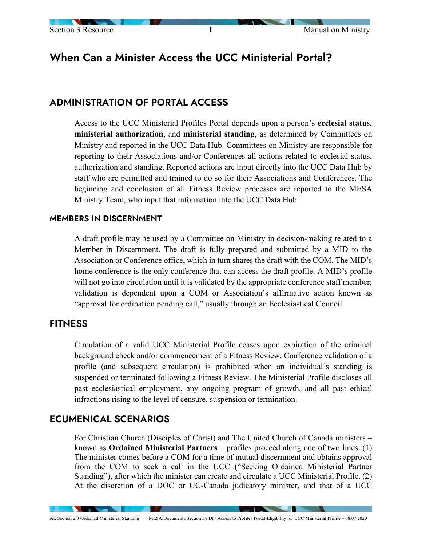# When Can a Minister Access the UCC Ministerial Portal?

## ADMINISTRATION OF PORTAL ACCESS

Access to the UCC Ministerial Profiles Portal depends upon a person's **ecclesial status**, **ministerial authorization**, and **ministerial standing**, as determined by Committees on Ministry and reported in the UCC Data Hub. Committees on Ministry are responsible for reporting to their Associations and/or Conferences all actions related to ecclesial status, authorization and standing. Reported actions are input directly into the UCC Data Hub by staff who are permitted and trained to do so for their Associations and Conferences. The beginning and conclusion of all Fitness Review processes are reported to the MESA Ministry Team, who input that information into the UCC Data Hub.

#### MEMBERS IN DISCERNMENT

A draft profile may be used by a Committee on Ministry in decision-making related to a Member in Discernment. The draft is fully prepared and submitted by a MID to the Association or Conference office, which in turn shares the draft with the COM. The MID's home conference is the only conference that can access the draft profile. A MID's profile will not go into circulation until it is validated by the appropriate conference staff member; validation is dependent upon a COM or Association's affirmative action known as "approval for ordination pending call," usually through an Ecclesiastical Council.

#### **FITNESS**

Circulation of a valid UCC Ministerial Profile ceases upon expiration of the criminal background check and/or commencement of a Fitness Review. Conference validation of a profile (and subsequent circulation) is prohibited when an individual's standing is suspended or terminated following a Fitness Review. The Ministerial Profile discloses all past ecclesiastical employment, any ongoing program of growth, and all past ethical infractions rising to the level of censure, suspension or termination.

### ECUMENICAL SCENARIOS

**Alberta Construction** 

**START** 

For Christian Church (Disciples of Christ) and The United Church of Canada ministers – known as **Ordained Ministerial Partners** – profiles proceed along one of two lines. (1) The minister comes before a COM for a time of mutual discernment and obtains approval from the COM to seek a call in the UCC ("Seeking Ordained Ministerial Partner Standing"), after which the minister can create and circulate a UCC Ministerial Profile. (2) At the discretion of a DOC or UC-Canada judicatory minister, and that of a UCC

**The Contract of the Contract of the Contract of the Contract of the Contract of the Contract of The Contract of The Contract of The Contract of The Contract of The Contract of The Contract of The Contract of The Contract** 

ref. Section 2:3 Ordained Ministerial Standing MESA/Documents/Section 3/PDF/ Access to Profiles Portal-Eligibility for UCC Ministerial Profile – 08.07.2020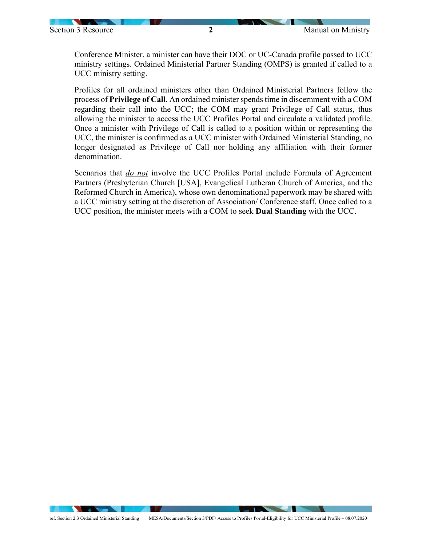**STATISTICS** 

Conference Minister, a minister can have their DOC or UC-Canada profile passed to UCC ministry settings. Ordained Ministerial Partner Standing (OMPS) is granted if called to a UCC ministry setting.

Profiles for all ordained ministers other than Ordained Ministerial Partners follow the process of **Privilege of Call**. An ordained minister spends time in discernment with a COM regarding their call into the UCC; the COM may grant Privilege of Call status, thus allowing the minister to access the UCC Profiles Portal and circulate a validated profile. Once a minister with Privilege of Call is called to a position within or representing the UCC, the minister is confirmed as a UCC minister with Ordained Ministerial Standing, no longer designated as Privilege of Call nor holding any affiliation with their former denomination.

Scenarios that *do not* involve the UCC Profiles Portal include Formula of Agreement Partners (Presbyterian Church [USA], Evangelical Lutheran Church of America, and the Reformed Church in America), whose own denominational paperwork may be shared with a UCC ministry setting at the discretion of Association/ Conference staff. Once called to a UCC position, the minister meets with a COM to seek **Dual Standing** with the UCC.